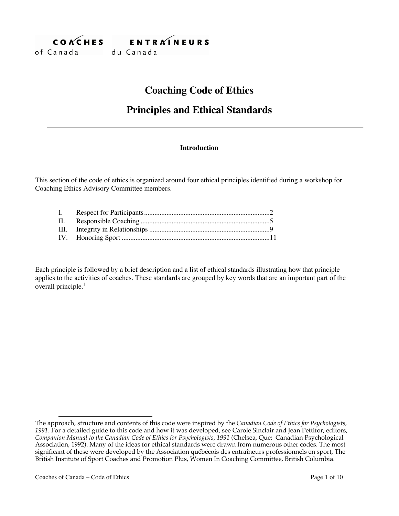

# **Coaching Code of Ethics**

# **Principles and Ethical Standards**

### **Introduction**

This section of the code of ethics is organized around four ethical principles identified during a workshop for Coaching Ethics Advisory Committee members.

Each principle is followed by a brief description and a list of ethical standards illustrating how that principle applies to the activities of coaches. These standards are grouped by key words that are an important part of the overall principle.<sup>1</sup>

 $\overline{a}$ The approach, structure and contents of this code were inspired by the *Canadian Code of Ethics for Psychologists, 1991*. For a detailed guide to this code and how it was developed, see Carole Sinclair and Jean Pettifor, editors, *Companion Manual to the Canadian Code of Ethics for Psychologists, 1991* (Chelsea, Que: Canadian Psychological Association, 1992). Many of the ideas for ethical standards were drawn from numerous other codes. The most significant of these were developed by the Association québécois des entraîneurs professionnels en sport, The British Institute of Sport Coaches and Promotion Plus, Women In Coaching Committee, British Columbia.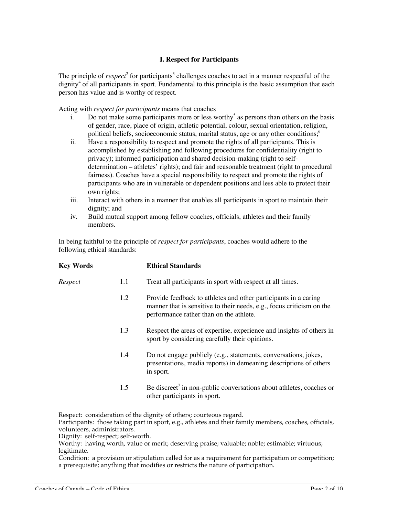# **I. Respect for Participants**

The principle of *respect*<sup>2</sup> for participants<sup>3</sup> challenges coaches to act in a manner respectful of the dignity<sup>4</sup> of all participants in sport. Fundamental to this principle is the basic assumption that each person has value and is worthy of respect.

Acting with *respect for participants* means that coaches

- i. Do not make some participants more or less worthy<sup>5</sup> as persons than others on the basis of gender, race, place of origin, athletic potential, colour, sexual orientation, religion, political beliefs, socioeconomic status, marital status, age or any other conditions;<sup>6</sup>
- ii. Have a responsibility to respect and promote the rights of all participants. This is accomplished by establishing and following procedures for confidentiality (right to privacy); informed participation and shared decision-making (right to selfdetermination – athletes' rights); and fair and reasonable treatment (right to procedural fairness). Coaches have a special responsibility to respect and promote the rights of participants who are in vulnerable or dependent positions and less able to protect their own rights;
- iii. Interact with others in a manner that enables all participants in sport to maintain their dignity; and
- iv. Build mutual support among fellow coaches, officials, athletes and their family members.

In being faithful to the principle of *respect for participants*, coaches would adhere to the following ethical standards:

| <b>Key Words</b> |     | <b>Ethical Standards</b>                                                                                                                                                            |
|------------------|-----|-------------------------------------------------------------------------------------------------------------------------------------------------------------------------------------|
| Respect          | 1.1 | Treat all participants in sport with respect at all times.                                                                                                                          |
|                  | 1.2 | Provide feedback to athletes and other participants in a caring<br>manner that is sensitive to their needs, e.g., focus criticism on the<br>performance rather than on the athlete. |
|                  | 1.3 | Respect the areas of expertise, experience and insights of others in<br>sport by considering carefully their opinions.                                                              |
|                  | 1.4 | Do not engage publicly (e.g., statements, conversations, jokes,<br>presentations, media reports) in demeaning descriptions of others<br>in sport.                                   |
|                  | 1.5 | Be discreet <sup><math>7</math></sup> in non-public conversations about athletes, coaches or<br>other participants in sport.                                                        |

 $\overline{a}$ Respect: consideration of the dignity of others; courteous regard.

Participants: those taking part in sport, e.g., athletes and their family members, coaches, officials, volunteers, administrators.

Dignity: self-respect; self-worth.

Condition: a provision or stipulation called for as a requirement for participation or competition; a prerequisite; anything that modifies or restricts the nature of participation.

Worthy: having worth, value or merit; deserving praise; valuable; noble; estimable; virtuous; legitimate.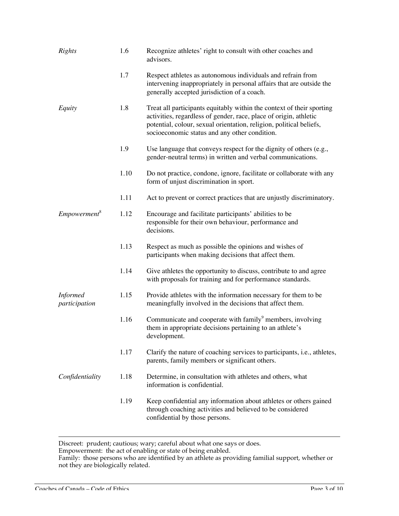| Rights                           | 1.6  | Recognize athletes' right to consult with other coaches and<br>advisors.                                                                                                                                                                                           |
|----------------------------------|------|--------------------------------------------------------------------------------------------------------------------------------------------------------------------------------------------------------------------------------------------------------------------|
|                                  | 1.7  | Respect athletes as autonomous individuals and refrain from<br>intervening inappropriately in personal affairs that are outside the<br>generally accepted jurisdiction of a coach.                                                                                 |
| Equity                           | 1.8  | Treat all participants equitably within the context of their sporting<br>activities, regardless of gender, race, place of origin, athletic<br>potential, colour, sexual orientation, religion, political beliefs,<br>socioeconomic status and any other condition. |
|                                  | 1.9  | Use language that conveys respect for the dignity of others (e.g.,<br>gender-neutral terms) in written and verbal communications.                                                                                                                                  |
|                                  | 1.10 | Do not practice, condone, ignore, facilitate or collaborate with any<br>form of unjust discrimination in sport.                                                                                                                                                    |
|                                  | 1.11 | Act to prevent or correct practices that are unjustly discriminatory.                                                                                                                                                                                              |
| Empowerment <sup>8</sup>         | 1.12 | Encourage and facilitate participants' abilities to be<br>responsible for their own behaviour, performance and<br>decisions.                                                                                                                                       |
|                                  | 1.13 | Respect as much as possible the opinions and wishes of<br>participants when making decisions that affect them.                                                                                                                                                     |
|                                  | 1.14 | Give athletes the opportunity to discuss, contribute to and agree<br>with proposals for training and for performance standards.                                                                                                                                    |
| <b>Informed</b><br>participation | 1.15 | Provide athletes with the information necessary for them to be<br>meaningfully involved in the decisions that affect them.                                                                                                                                         |
|                                  | 1.16 | Communicate and cooperate with family <sup>9</sup> members, involving<br>them in appropriate decisions pertaining to an athlete's<br>development.                                                                                                                  |
|                                  | 1.17 | Clarify the nature of coaching services to participants, i.e., athletes,<br>parents, family members or significant others.                                                                                                                                         |
| Confidentiality                  | 1.18 | Determine, in consultation with athletes and others, what<br>information is confidential.                                                                                                                                                                          |
|                                  | 1.19 | Keep confidential any information about athletes or others gained<br>through coaching activities and believed to be considered<br>confidential by those persons.                                                                                                   |

 $\overline{a}$ Discreet: prudent; cautious; wary; careful about what one says or does.

Empowerment: the act of enabling or state of being enabled.

Family: those persons who are identified by an athlete as providing familial support, whether or not they are biologically related.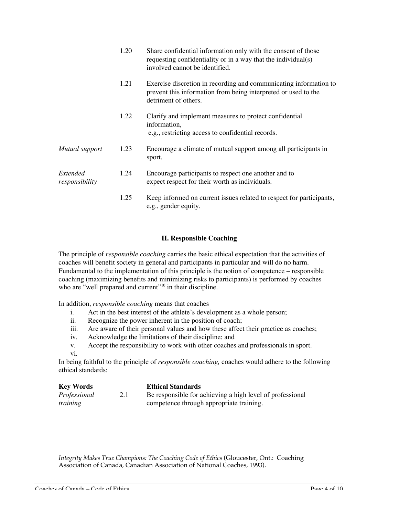|                            | 1.20 | Share confidential information only with the consent of those<br>requesting confidentiality or in a way that the individual(s)<br>involved cannot be identified. |
|----------------------------|------|------------------------------------------------------------------------------------------------------------------------------------------------------------------|
|                            | 1.21 | Exercise discretion in recording and communicating information to<br>prevent this information from being interpreted or used to the<br>detriment of others.      |
|                            | 1.22 | Clarify and implement measures to protect confidential<br>information,<br>e.g., restricting access to confidential records.                                      |
| Mutual support             | 1.23 | Encourage a climate of mutual support among all participants in<br>sport.                                                                                        |
| Extended<br>responsibility | 1.24 | Encourage participants to respect one another and to<br>expect respect for their worth as individuals.                                                           |
|                            | 1.25 | Keep informed on current issues related to respect for participants,<br>e.g., gender equity.                                                                     |

### **II. Responsible Coaching**

The principle of *responsible coaching* carries the basic ethical expectation that the activities of coaches will benefit society in general and participants in particular and will do no harm. Fundamental to the implementation of this principle is the notion of competence – responsible coaching (maximizing benefits and minimizing risks to participants) is performed by coaches who are "well prepared and current"<sup>10</sup> in their discipline.

In addition, *responsible coaching* means that coaches

- i. Act in the best interest of the athlete's development as a whole person;<br>ii. Recognize the power inherent in the position of coach:
- Recognize the power inherent in the position of coach;
- iii. Are aware of their personal values and how these affect their practice as coaches;
- iv. Acknowledge the limitations of their discipline; and
- v. Accept the responsibility to work with other coaches and professionals in sport.
- vi.

In being faithful to the principle of *responsible coaching,* coaches would adhere to the following ethical standards:

| <b>Key Words</b> |     | <b>Ethical Standards</b>                                  |
|------------------|-----|-----------------------------------------------------------|
| Professional     | 2.1 | Be responsible for achieving a high level of professional |
| <i>training</i>  |     | competence through appropriate training.                  |

 $\overline{a}$ *Integrity Makes True Champions: The Coaching Code of Ethics* (Gloucester, Ont.: Coaching Association of Canada, Canadian Association of National Coaches, 1993).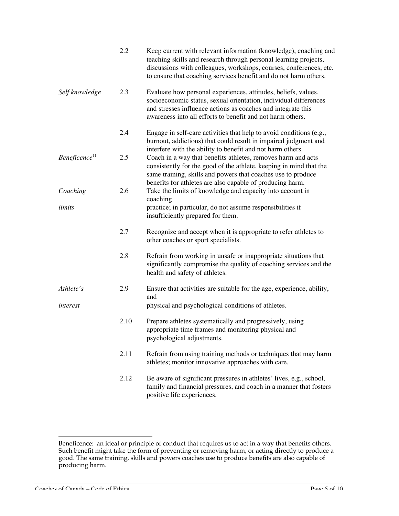|                           | 2.2  | Keep current with relevant information (knowledge), coaching and<br>teaching skills and research through personal learning projects,<br>discussions with colleagues, workshops, courses, conferences, etc.<br>to ensure that coaching services benefit and do not harm others. |
|---------------------------|------|--------------------------------------------------------------------------------------------------------------------------------------------------------------------------------------------------------------------------------------------------------------------------------|
| Self knowledge            | 2.3  | Evaluate how personal experiences, attitudes, beliefs, values,<br>socioeconomic status, sexual orientation, individual differences<br>and stresses influence actions as coaches and integrate this<br>awareness into all efforts to benefit and not harm others.               |
|                           | 2.4  | Engage in self-care activities that help to avoid conditions (e.g.,<br>burnout, addictions) that could result in impaired judgment and<br>interfere with the ability to benefit and not harm others.                                                                           |
| Beneficence <sup>11</sup> | 2.5  | Coach in a way that benefits athletes, removes harm and acts<br>consistently for the good of the athlete, keeping in mind that the<br>same training, skills and powers that coaches use to produce<br>benefits for athletes are also capable of producing harm.                |
| Coaching                  | 2.6  | Take the limits of knowledge and capacity into account in<br>coaching                                                                                                                                                                                                          |
| limits                    |      | practice; in particular, do not assume responsibilities if<br>insufficiently prepared for them.                                                                                                                                                                                |
|                           | 2.7  | Recognize and accept when it is appropriate to refer athletes to<br>other coaches or sport specialists.                                                                                                                                                                        |
|                           | 2.8  | Refrain from working in unsafe or inappropriate situations that<br>significantly compromise the quality of coaching services and the<br>health and safety of athletes.                                                                                                         |
| Athlete's                 | 2.9  | Ensure that activities are suitable for the age, experience, ability,<br>and                                                                                                                                                                                                   |
| interest                  |      | physical and psychological conditions of athletes.                                                                                                                                                                                                                             |
|                           | 2.10 | Prepare athletes systematically and progressively, using<br>appropriate time frames and monitoring physical and<br>psychological adjustments.                                                                                                                                  |
|                           | 2.11 | Refrain from using training methods or techniques that may harm<br>athletes; monitor innovative approaches with care.                                                                                                                                                          |
|                           | 2.12 | Be aware of significant pressures in athletes' lives, e.g., school,<br>family and financial pressures, and coach in a manner that fosters<br>positive life experiences.                                                                                                        |

 $\overline{a}$ Beneficence: an ideal or principle of conduct that requires us to act in a way that benefits others. Such benefit might take the form of preventing or removing harm, or acting directly to produce a good. The same training, skills and powers coaches use to produce benefits are also capable of producing harm.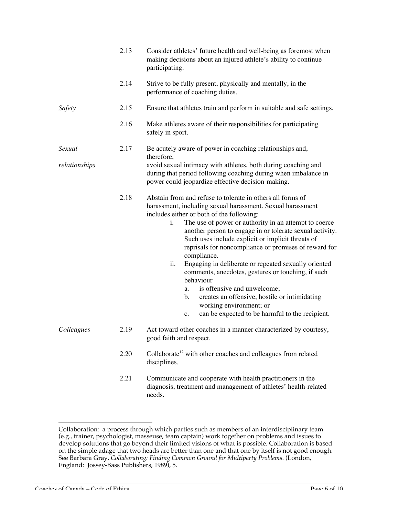|               | 2.13 | Consider athletes' future health and well-being as foremost when<br>making decisions about an injured athlete's ability to continue<br>participating.                                                                                                                                                                                                                                                                                                                                                                                                                                                                                                                                                                                           |
|---------------|------|-------------------------------------------------------------------------------------------------------------------------------------------------------------------------------------------------------------------------------------------------------------------------------------------------------------------------------------------------------------------------------------------------------------------------------------------------------------------------------------------------------------------------------------------------------------------------------------------------------------------------------------------------------------------------------------------------------------------------------------------------|
|               | 2.14 | Strive to be fully present, physically and mentally, in the<br>performance of coaching duties.                                                                                                                                                                                                                                                                                                                                                                                                                                                                                                                                                                                                                                                  |
| Safety        | 2.15 | Ensure that athletes train and perform in suitable and safe settings.                                                                                                                                                                                                                                                                                                                                                                                                                                                                                                                                                                                                                                                                           |
|               | 2.16 | Make athletes aware of their responsibilities for participating<br>safely in sport.                                                                                                                                                                                                                                                                                                                                                                                                                                                                                                                                                                                                                                                             |
| Sexual        | 2.17 | Be acutely aware of power in coaching relationships and,<br>therefore,                                                                                                                                                                                                                                                                                                                                                                                                                                                                                                                                                                                                                                                                          |
| relationships |      | avoid sexual intimacy with athletes, both during coaching and<br>during that period following coaching during when imbalance in<br>power could jeopardize effective decision-making.                                                                                                                                                                                                                                                                                                                                                                                                                                                                                                                                                            |
|               | 2.18 | Abstain from and refuse to tolerate in others all forms of<br>harassment, including sexual harassment. Sexual harassment<br>includes either or both of the following:<br>The use of power or authority in an attempt to coerce<br>i.<br>another person to engage in or tolerate sexual activity.<br>Such uses include explicit or implicit threats of<br>reprisals for noncompliance or promises of reward for<br>compliance.<br>ii.<br>Engaging in deliberate or repeated sexually oriented<br>comments, anecdotes, gestures or touching, if such<br>behaviour<br>is offensive and unwelcome;<br>a.<br>creates an offensive, hostile or intimidating<br>b.<br>working environment; or<br>can be expected to be harmful to the recipient.<br>c. |
| Colleagues    | 2.19 | Act toward other coaches in a manner characterized by courtesy,<br>good faith and respect.                                                                                                                                                                                                                                                                                                                                                                                                                                                                                                                                                                                                                                                      |
|               | 2.20 | Collaborate <sup>12</sup> with other coaches and colleagues from related<br>disciplines.                                                                                                                                                                                                                                                                                                                                                                                                                                                                                                                                                                                                                                                        |
|               | 2.21 | Communicate and cooperate with health practitioners in the<br>diagnosis, treatment and management of athletes' health-related<br>needs.                                                                                                                                                                                                                                                                                                                                                                                                                                                                                                                                                                                                         |

 $\overline{a}$ Collaboration: a process through which parties such as members of an interdisciplinary team (e.g., trainer, psychologist, masseuse, team captain) work together on problems and issues to develop solutions that go beyond their limited visions of what is possible. Collaboration is based on the simple adage that two heads are better than one and that one by itself is not good enough. See Barbara Gray, *Collaborating: Finding Common Ground for Multiparty Problems*. (London, England: Jossey-Bass Publishers, 1989), 5.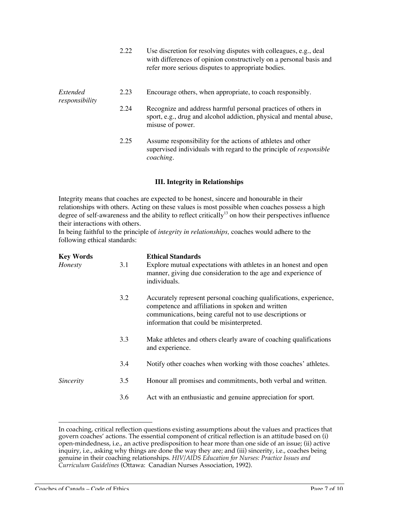| refer more serious disputes to appropriate bodies.                                                                                       |
|------------------------------------------------------------------------------------------------------------------------------------------|
| Encourage others, when appropriate, to coach responsibly.                                                                                |
| Recognize and address harmful personal practices of others in<br>sport, e.g., drug and alcohol addiction, physical and mental abuse,     |
| Assume responsibility for the actions of athletes and other<br>supervised individuals with regard to the principle of <i>responsible</i> |
|                                                                                                                                          |

### **III. Integrity in Relationships**

Integrity means that coaches are expected to be honest, sincere and honourable in their relationships with others. Acting on these values is most possible when coaches possess a high degree of self-awareness and the ability to reflect critically<sup>13</sup> on how their perspectives influence their interactions with others.

In being faithful to the principle of *integrity in relationships,* coaches would adhere to the following ethical standards:

| <b>Key Words</b> |     | <b>Ethical Standards</b>                                                                                                                                                                                                         |
|------------------|-----|----------------------------------------------------------------------------------------------------------------------------------------------------------------------------------------------------------------------------------|
| Honesty          | 3.1 | Explore mutual expectations with athletes in an honest and open<br>manner, giving due consideration to the age and experience of<br>individuals.                                                                                 |
|                  | 3.2 | Accurately represent personal coaching qualifications, experience,<br>competence and affiliations in spoken and written<br>communications, being careful not to use descriptions or<br>information that could be misinterpreted. |
|                  | 3.3 | Make athletes and others clearly aware of coaching qualifications<br>and experience.                                                                                                                                             |
|                  | 3.4 | Notify other coaches when working with those coaches' athletes.                                                                                                                                                                  |
| Sincerity        | 3.5 | Honour all promises and commitments, both verbal and written.                                                                                                                                                                    |
|                  | 3.6 | Act with an enthusiastic and genuine appreciation for sport.                                                                                                                                                                     |

In coaching, critical reflection questions existing assumptions about the values and practices that govern coaches' actions. The essential component of critical reflection is an attitude based on (i) open-mindedness, i.e., an active predisposition to hear more than one side of an issue; (ii) active inquiry, i.e., asking why things are done the way they are; and (iii) sincerity, i.e., coaches being genuine in their coaching relationships. *HIV/AIDS Education for Nurses: Practice Issues and Curriculum Guidelines* (Ottawa: Canadian Nurses Association, 1992).

 $\overline{a}$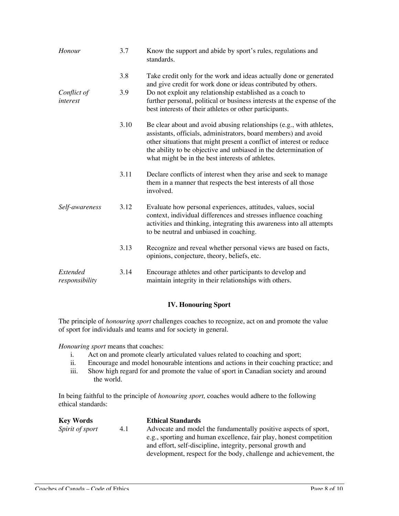| Honour                     | 3.7  | Know the support and abide by sport's rules, regulations and<br>standards.                                                                                                                                                                                                                                                              |
|----------------------------|------|-----------------------------------------------------------------------------------------------------------------------------------------------------------------------------------------------------------------------------------------------------------------------------------------------------------------------------------------|
|                            | 3.8  | Take credit only for the work and ideas actually done or generated<br>and give credit for work done or ideas contributed by others.                                                                                                                                                                                                     |
| Conflict of<br>interest    | 3.9  | Do not exploit any relationship established as a coach to<br>further personal, political or business interests at the expense of the<br>best interests of their athletes or other participants.                                                                                                                                         |
|                            | 3.10 | Be clear about and avoid abusing relationships (e.g., with athletes,<br>assistants, officials, administrators, board members) and avoid<br>other situations that might present a conflict of interest or reduce<br>the ability to be objective and unbiased in the determination of<br>what might be in the best interests of athletes. |
|                            | 3.11 | Declare conflicts of interest when they arise and seek to manage<br>them in a manner that respects the best interests of all those<br>involved.                                                                                                                                                                                         |
| Self-awareness             | 3.12 | Evaluate how personal experiences, attitudes, values, social<br>context, individual differences and stresses influence coaching<br>activities and thinking, integrating this awareness into all attempts<br>to be neutral and unbiased in coaching.                                                                                     |
|                            | 3.13 | Recognize and reveal whether personal views are based on facts,<br>opinions, conjecture, theory, beliefs, etc.                                                                                                                                                                                                                          |
| Extended<br>responsibility | 3.14 | Encourage athletes and other participants to develop and<br>maintain integrity in their relationships with others.                                                                                                                                                                                                                      |

## **IV. Honouring Sport**

The principle of *honouring sport* challenges coaches to recognize, act on and promote the value of sport for individuals and teams and for society in general.

*Honouring sport* means that coaches:

- i. Act on and promote clearly articulated values related to coaching and sport;<br>ii. Encourage and model honourable intentions and actions in their coaching pr
- Encourage and model honourable intentions and actions in their coaching practice; and
- iii. Show high regard for and promote the value of sport in Canadian society and around the world.

In being faithful to the principle of *honouring sport,* coaches would adhere to the following ethical standards:

|     | <b>Ethical Standards</b>                                           |
|-----|--------------------------------------------------------------------|
| 4.1 | Advocate and model the fundamentally positive aspects of sport,    |
|     | e.g., sporting and human excellence, fair play, honest competition |
|     | and effort, self-discipline, integrity, personal growth and        |
|     | development, respect for the body, challenge and achievement, the  |
|     |                                                                    |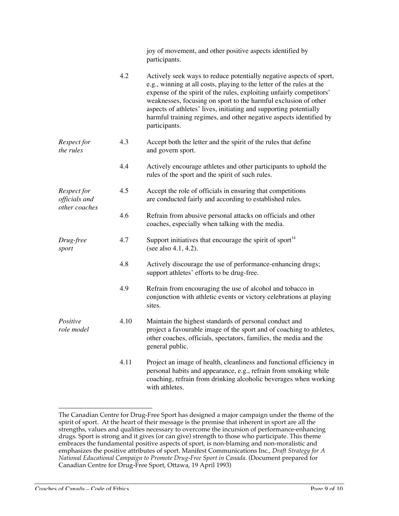|                              |      | joy of movement, and other positive aspects identified by<br>participants.                                                                                                                                                                                                                                                                                                                                                                          |
|------------------------------|------|-----------------------------------------------------------------------------------------------------------------------------------------------------------------------------------------------------------------------------------------------------------------------------------------------------------------------------------------------------------------------------------------------------------------------------------------------------|
|                              | 4.2  | Actively seek ways to reduce potentially negative aspects of sport,<br>e.g., winning at all costs, playing to the letter of the rules at the<br>expense of the spirit of the rules, exploiting unfairly competitors'<br>weaknesses, focusing on sport to the harmful exclusion of other<br>aspects of athletes' lives, initiating and supporting potentially<br>harmful training regimes, and other negative aspects identified by<br>participants. |
| Respect for<br>the rules     | 4.3  | Accept both the letter and the spirit of the rules that define<br>and govern sport.                                                                                                                                                                                                                                                                                                                                                                 |
|                              | 4.4  | Actively encourage athletes and other participants to uphold the<br>rules of the sport and the spirit of such rules.                                                                                                                                                                                                                                                                                                                                |
| Respect for<br>officials and | 4.5  | Accept the role of officials in ensuring that competitions<br>are conducted fairly and according to established rules.                                                                                                                                                                                                                                                                                                                              |
| other coaches                | 4.6  | Refrain from abusive personal attacks on officials and other<br>coaches, especially when talking with the media.                                                                                                                                                                                                                                                                                                                                    |
| Drug-free<br>sport           | 4.7  | Support initiatives that encourage the spirit of sport <sup>14</sup><br>(see also 4.1, 4.2).                                                                                                                                                                                                                                                                                                                                                        |
|                              | 4.8  | Actively discourage the use of performance-enhancing drugs;<br>support athletes' efforts to be drug-free.                                                                                                                                                                                                                                                                                                                                           |
|                              | 4.9  | Refrain from encouraging the use of alcohol and tobacco in<br>conjunction with athletic events or victory celebrations at playing<br>sites.                                                                                                                                                                                                                                                                                                         |
| Positive<br>role model       | 4.10 | Maintain the highest standards of personal conduct and<br>project a favourable image of the sport and of coaching to athletes,<br>other coaches, officials, spectators, families, the media and the<br>general public.                                                                                                                                                                                                                              |
|                              | 4.11 | Project an image of health, cleanliness and functional efficiency in<br>personal habits and appearance, e.g., refrain from smoking while<br>coaching, refrain from drinking alcoholic beverages when working<br>with athletes.                                                                                                                                                                                                                      |

 $\overline{a}$ The Canadian Centre for Drug-Free Sport has designed a major campaign under the theme of the spirit of sport. At the heart of their message is the premise that inherent in sport are all the strengths, values and qualities necessary to overcome the incursion of performance-enhancing drugs. Sport is strong and it gives (or can give) strength to those who participate. This theme embraces the fundamental positive aspects of sport, is non-blaming and non-moralistic and emphasizes the positive attributes of sport. Manifest Communications Inc., *Draft Strategy for A National Educational Campaign to Promote Drug-Free Sport in Canada*. (Document prepared for Canadian Centre for Drug-Free Sport, Ottawa, 19 April 1993)